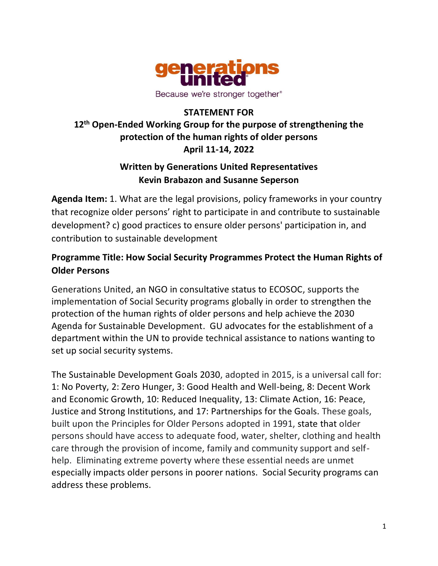

## **STATEMENT FOR 12th Open-Ended Working Group for the purpose of strengthening the protection of the human rights of older persons April 11-14, 2022**

## **Written by Generations United Representatives Kevin Brabazon and Susanne Seperson**

**Agenda Item:** 1. What are the legal provisions, policy frameworks in your country that recognize older persons' right to participate in and contribute to sustainable development? c) good practices to ensure older persons' participation in, and contribution to sustainable development

## **Programme Title: How Social Security Programmes Protect the Human Rights of Older Persons**

Generations United, an NGO in consultative status to ECOSOC, supports the implementation of Social Security programs globally in order to strengthen the protection of the human rights of older persons and help achieve the 2030 Agenda for Sustainable Development. GU advocates for the establishment of a department within the UN to provide technical assistance to nations wanting to set up social security systems.

The Sustainable Development Goals 2030, adopted in 2015, is a universal call for: 1: No Poverty, 2: Zero Hunger, 3: Good Health and Well-being, 8: Decent Work and Economic Growth, 10: Reduced Inequality, 13: Climate Action, 16: Peace, Justice and Strong Institutions, and 17: Partnerships for the Goals. These goals, built upon the Principles for Older Persons adopted in 1991, state that older persons should have access to adequate food, water, shelter, clothing and health care through the provision of income, family and community support and selfhelp. Eliminating extreme poverty where these essential needs are unmet especially impacts older persons in poorer nations. Social Security programs can address these problems.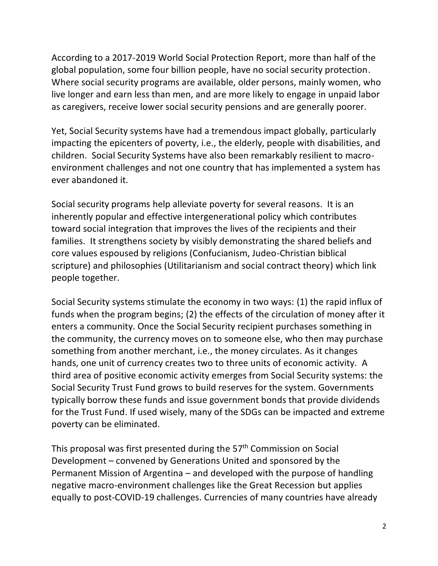According to a 2017-2019 World Social Protection Report, more than half of the global population, some four billion people, have no social security protection. Where social security programs are available, older persons, mainly women, who live longer and earn less than men, and are more likely to engage in unpaid labor as caregivers, receive lower social security pensions and are generally poorer.

Yet, Social Security systems have had a tremendous impact globally, particularly impacting the epicenters of poverty, i.e., the elderly, people with disabilities, and children. Social Security Systems have also been remarkably resilient to macroenvironment challenges and not one country that has implemented a system has ever abandoned it.

Social security programs help alleviate poverty for several reasons. It is an inherently popular and effective intergenerational policy which contributes toward social integration that improves the lives of the recipients and their families. It strengthens society by visibly demonstrating the shared beliefs and core values espoused by religions (Confucianism, Judeo-Christian biblical scripture) and philosophies (Utilitarianism and social contract theory) which link people together.

Social Security systems stimulate the economy in two ways: (1) the rapid influx of funds when the program begins; (2) the effects of the circulation of money after it enters a community. Once the Social Security recipient purchases something in the community, the currency moves on to someone else, who then may purchase something from another merchant, i.e., the money circulates. As it changes hands, one unit of currency creates two to three units of economic activity. A third area of positive economic activity emerges from Social Security systems: the Social Security Trust Fund grows to build reserves for the system. Governments typically borrow these funds and issue government bonds that provide dividends for the Trust Fund. If used wisely, many of the SDGs can be impacted and extreme poverty can be eliminated.

This proposal was first presented during the 57<sup>th</sup> Commission on Social Development – convened by Generations United and sponsored by the Permanent Mission of Argentina – and developed with the purpose of handling negative macro-environment challenges like the Great Recession but applies equally to post-COVID-19 challenges. Currencies of many countries have already